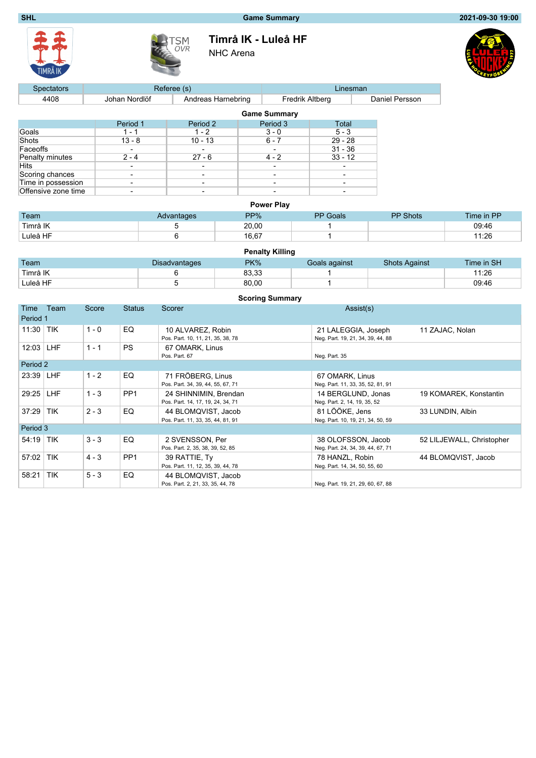## **SHL Game Summary 2021-09-30 19:00**





**Timrå IK - Luleå HF**

NHC Arena



| <b>Spectators</b>   |               | Referee (s)              | Linesman               |                     |                          |                |  |
|---------------------|---------------|--------------------------|------------------------|---------------------|--------------------------|----------------|--|
| 4408                | Johan Nordlöf | Andreas Harnebring       | <b>Fredrik Altberg</b> |                     |                          | Daniel Persson |  |
|                     |               |                          |                        | <b>Game Summary</b> |                          |                |  |
|                     | Period 1      | Period 2                 |                        | Period 3            | Total                    |                |  |
| Goals               | 1 - 1         | $1 - 2$                  |                        | $3 - 0$             | $5 - 3$                  |                |  |
| Shots               | $13 - 8$      | $10 - 13$                |                        | $6 - 7$             | $29 - 28$                |                |  |
| Faceoffs            |               | $\overline{\phantom{0}}$ |                        |                     | $31 - 36$                |                |  |
| Penalty minutes     | $2 - 4$       | $27 - 6$                 |                        | $4 - 2$             | $33 - 12$                |                |  |
| Hits                |               |                          |                        |                     |                          |                |  |
| Scoring chances     | -             | $\overline{\phantom{a}}$ |                        | -                   |                          |                |  |
| Time in possession  |               | $\overline{\phantom{a}}$ |                        |                     | $\overline{\phantom{a}}$ |                |  |
| Offensive zone time |               | $\overline{\phantom{0}}$ |                        | -                   | -                        |                |  |

| <b>Power Play</b> |            |       |                 |                 |            |  |  |  |  |  |  |
|-------------------|------------|-------|-----------------|-----------------|------------|--|--|--|--|--|--|
| Team              | Advantages | PP%   | <b>PP</b> Goals | <b>PP Shots</b> | Time in PP |  |  |  |  |  |  |
| Timrå IK          |            | 20.00 |                 |                 | 09:46      |  |  |  |  |  |  |
| Luleå HF          |            | 16,67 |                 |                 | 11:26      |  |  |  |  |  |  |

|          |                      | <b>Penalty Killing</b> |               |                      |            |
|----------|----------------------|------------------------|---------------|----------------------|------------|
| Team     | <b>Disadvantages</b> | PK%                    | Goals against | <b>Shots Against</b> | Time in SH |
| Timrå IK |                      | 83.33                  |               |                      | 11:26      |
| Luleå HF |                      | 80,00                  |               |                      | 09:46      |

|             | <b>Scoring Summary</b> |         |                 |                                                            |                                                          |                           |  |  |  |  |  |
|-------------|------------------------|---------|-----------------|------------------------------------------------------------|----------------------------------------------------------|---------------------------|--|--|--|--|--|
| Time        | Team                   | Score   | <b>Status</b>   | Scorer                                                     | Assist(s)                                                |                           |  |  |  |  |  |
| Period 1    |                        |         |                 |                                                            |                                                          |                           |  |  |  |  |  |
| 11:30       | <b>TIK</b>             | $1 - 0$ | EQ              | 10 ALVAREZ, Robin<br>Pos. Part. 10, 11, 21, 35, 38, 78     | 21 LALEGGIA, Joseph<br>Neg. Part. 19, 21, 34, 39, 44, 88 | 11 ZAJAC, Nolan           |  |  |  |  |  |
| 12:03       | <b>LHF</b>             | $1 - 1$ | <b>PS</b>       | 67 OMARK, Linus<br>Pos. Part. 67                           | Neg. Part. 35                                            |                           |  |  |  |  |  |
| Period 2    |                        |         |                 |                                                            |                                                          |                           |  |  |  |  |  |
| 23:39 LHF   |                        | $1 - 2$ | EQ              | 71 FRÖBERG. Linus<br>Pos. Part. 34, 39, 44, 55, 67, 71     | 67 OMARK, Linus<br>Neg. Part. 11, 33, 35, 52, 81, 91     |                           |  |  |  |  |  |
| 29:25       | <b>LHF</b>             | $1 - 3$ | PP <sub>1</sub> | 24 SHINNIMIN, Brendan<br>Pos. Part. 14, 17, 19, 24, 34, 71 | 14 BERGLUND, Jonas<br>Neg. Part. 2, 14, 19, 35, 52       | 19 KOMAREK, Konstantin    |  |  |  |  |  |
| 37:29       | <b>TIK</b>             | $2 - 3$ | EQ              | 44 BLOMQVIST, Jacob<br>Pos. Part. 11, 33, 35, 44, 81, 91   | 81 LÖÖKE, Jens<br>Neg. Part. 10, 19, 21, 34, 50, 59      | 33 LUNDIN, Albin          |  |  |  |  |  |
| Period 3    |                        |         |                 |                                                            |                                                          |                           |  |  |  |  |  |
| $54:19$ TIK |                        | $3 - 3$ | EQ              | 2 SVENSSON, Per<br>Pos. Part. 2, 35, 38, 39, 52, 85        | 38 OLOFSSON, Jacob<br>Neg. Part. 24, 34, 39, 44, 67, 71  | 52 LILJEWALL, Christopher |  |  |  |  |  |
| 57:02       | <b>TIK</b>             | $4 - 3$ | PP <sub>1</sub> | 39 RATTIE, Ty<br>Pos. Part. 11, 12, 35, 39, 44, 78         | 78 HANZL, Robin<br>Neg. Part. 14, 34, 50, 55, 60         | 44 BLOMQVIST, Jacob       |  |  |  |  |  |
| 58:21       | <b>TIK</b>             | $5 - 3$ | EQ              | 44 BLOMQVIST, Jacob<br>Pos. Part. 2, 21, 33, 35, 44, 78    | Neg. Part. 19, 21, 29, 60, 67, 88                        |                           |  |  |  |  |  |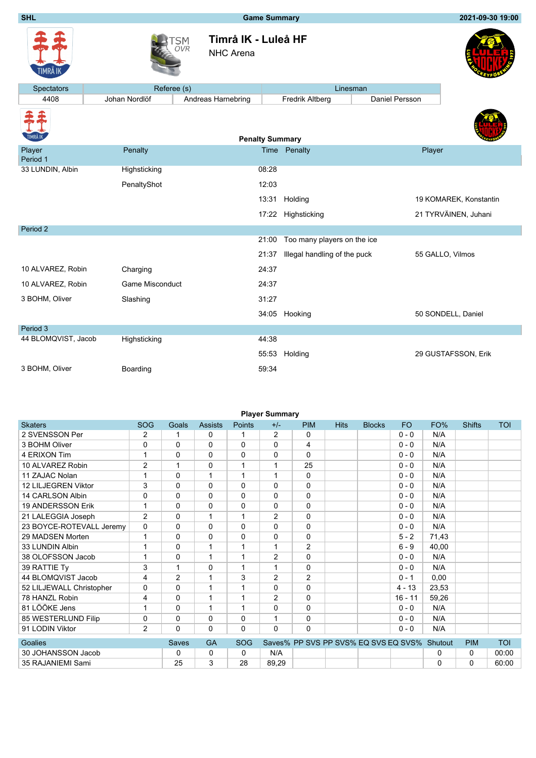**SHL Game Summary 2021-09-30 19:00**

| <mark>TIMRÅ IK</mark> |
|-----------------------|



**Timrå IK - Luleå HF** NHC Arena



| <b>Spectators</b>   | Referee (s)            |                        |       | Linesman                     |                |        |                        |
|---------------------|------------------------|------------------------|-------|------------------------------|----------------|--------|------------------------|
| 4408                | Johan Nordlöf          | Andreas Harnebring     |       | Fredrik Altberg              | Daniel Persson |        |                        |
|                     |                        | <b>Penalty Summary</b> |       |                              |                |        |                        |
| Player<br>Period 1  | Penalty                |                        |       | Time Penalty                 |                | Player |                        |
| 33 LUNDIN, Albin    | Highsticking           |                        | 08:28 |                              |                |        |                        |
|                     | PenaltyShot            |                        | 12:03 |                              |                |        |                        |
|                     |                        |                        |       | 13:31 Holding                |                |        | 19 KOMAREK, Konstantin |
|                     |                        |                        |       | 17:22 Highsticking           |                |        | 21 TYRVÄINEN, Juhani   |
| Period 2            |                        |                        |       |                              |                |        |                        |
|                     |                        |                        | 21:00 | Too many players on the ice  |                |        |                        |
|                     |                        |                        | 21:37 | Illegal handling of the puck |                |        | 55 GALLO, Vilmos       |
| 10 ALVAREZ, Robin   | Charging               |                        | 24:37 |                              |                |        |                        |
| 10 ALVAREZ, Robin   | <b>Game Misconduct</b> |                        | 24:37 |                              |                |        |                        |
| 3 BOHM, Oliver      | Slashing               |                        | 31:27 |                              |                |        |                        |
|                     |                        |                        | 34:05 | Hooking                      |                |        | 50 SONDELL, Daniel     |
| Period 3            |                        |                        |       |                              |                |        |                        |
| 44 BLOMQVIST, Jacob | Highsticking           |                        | 44:38 |                              |                |        |                        |
|                     |                        |                        |       | 55:53 Holding                |                |        | 29 GUSTAFSSON, Erik    |
| 3 BOHM, Oliver      | Boarding               |                        | 59:34 |                              |                |        |                        |

| <b>Player Summary</b>    |                |                |                |            |                |                                      |             |               |           |          |               |            |
|--------------------------|----------------|----------------|----------------|------------|----------------|--------------------------------------|-------------|---------------|-----------|----------|---------------|------------|
| <b>Skaters</b>           | <b>SOG</b>     | Goals          | <b>Assists</b> | Points     | $+/-$          | <b>PIM</b>                           | <b>Hits</b> | <b>Blocks</b> | <b>FO</b> | FO%      | <b>Shifts</b> | <b>TOI</b> |
| 2 SVENSSON Per           | 2              | 1              | $\mathbf 0$    | 1          | 2              | $\Omega$                             |             |               | $0 - 0$   | N/A      |               |            |
| 3 BOHM Oliver            | 0              | $\Omega$       | 0              | $\Omega$   | 0              | 4                                    |             |               | $0 - 0$   | N/A      |               |            |
| 4 ERIXON Tim             | 1              | $\Omega$       | 0              | 0          | $\mathbf{0}$   | $\Omega$                             |             |               | $0 - 0$   | N/A      |               |            |
| 10 ALVAREZ Robin         | $\overline{2}$ | 1              | 0              | 1          | 1              | 25                                   |             |               | $0 - 0$   | N/A      |               |            |
| 11 ZAJAC Nolan           | 1              | $\Omega$       | 1              | 1          | 1              | $\Omega$                             |             |               | $0 - 0$   | N/A      |               |            |
| 12 LILJEGREN Viktor      | 3              | $\Omega$       | $\Omega$       | $\Omega$   | $\mathbf{0}$   | $\Omega$                             |             |               | $0 - 0$   | N/A      |               |            |
| 14 CARLSON Albin         | 0              | $\Omega$       | $\Omega$       | $\Omega$   | $\mathbf{0}$   | $\Omega$                             |             |               | $0 - 0$   | N/A      |               |            |
| 19 ANDERSSON Erik        | 1              | $\Omega$       | $\Omega$       | 0          | 0              | $\Omega$                             |             |               | $0 - 0$   | N/A      |               |            |
| 21 LALEGGIA Joseph       | $\overline{2}$ | $\Omega$       | 1              | 1          | $\overline{2}$ | $\Omega$                             |             |               | $0 - 0$   | N/A      |               |            |
| 23 BOYCE-ROTEVALL Jeremy | 0              | $\Omega$       | 0              | 0          | $\mathbf{0}$   | $\Omega$                             |             |               | $0 - 0$   | N/A      |               |            |
| 29 MADSEN Morten         | 1              | $\Omega$       | $\mathbf 0$    | 0          | 0              | $\Omega$                             |             |               | $5 - 2$   | 71,43    |               |            |
| 33 LUNDIN Albin          | 4              | $\Omega$       | 1              | 1          | 1              | 2                                    |             |               | $6 - 9$   | 40,00    |               |            |
| 38 OLOFSSON Jacob        | 1              | $\Omega$       | 1              | 1          | 2              | $\Omega$                             |             |               | $0 - 0$   | N/A      |               |            |
| 39 RATTIE Ty             | 3              | 1              | 0              | 1          | 1              | $\Omega$                             |             |               | $0 - 0$   | N/A      |               |            |
| 44 BLOMOVIST Jacob       | 4              | $\overline{2}$ | 1              | 3          | 2              | $\overline{2}$                       |             |               | $0 - 1$   | 0,00     |               |            |
| 52 LILJEWALL Christopher | 0              | $\mathbf 0$    | 1              | 1          | $\mathbf{0}$   | $\Omega$                             |             |               | $4 - 13$  | 23,53    |               |            |
| 78 HANZL Robin           | 4              | $\Omega$       | $\mathbf 1$    | 1          | 2              | $\Omega$                             |             |               | $16 - 11$ | 59,26    |               |            |
| 81 LÖÖKE Jens            | 1              | $\Omega$       | $\mathbf 1$    | 1          | 0              | $\Omega$                             |             |               | $0 - 0$   | N/A      |               |            |
| 85 WESTERLUND Filip      | 0              | 0              | $\mathbf 0$    | $\Omega$   | 1              | 0                                    |             |               | $0 - 0$   | N/A      |               |            |
| 91 LODIN Viktor          | $\overline{2}$ | $\Omega$       | $\Omega$       | $\Omega$   | $\mathbf{0}$   | $\Omega$                             |             |               | $0 - 0$   | N/A      |               |            |
| Goalies                  |                | <b>Saves</b>   | <b>GA</b>      | <b>SOG</b> |                | Saves% PP SVS PP SVS% EQ SVS EQ SVS% |             |               |           | Shutout  | <b>PIM</b>    | <b>TOI</b> |
| 30 JOHANSSON Jacob       |                | $\Omega$       | 0              | $\Omega$   | N/A            |                                      |             |               |           | 0        | 0             | 00:00      |
| 35 RAJANIEMI Sami        |                | 25             | 3              | 28         | 89,29          |                                      |             |               |           | $\Omega$ | 0             | 60:00      |